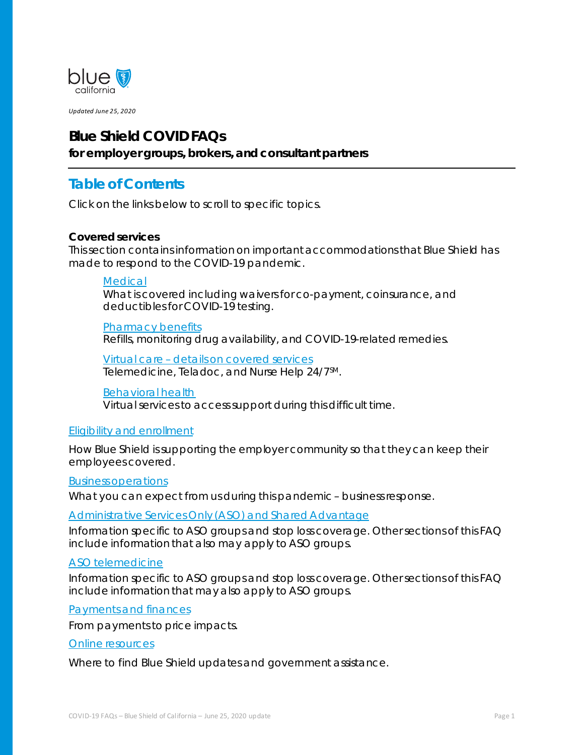

*Updated June 25, 2020*

## **Blue Shield COVID FAQs**

**for employer groups, brokers, and consultant partners** 

# **Table of Contents**

*Click on the links below to scroll to specific topics.*

### **Covered services**

*This section contains information on important accommodations that Blue Shield has made to respond to the COVID-19 pandemic.*

### *Medical*

*What is covered including waivers for co-payment, coinsurance, and deductibles for COVID-19 testing.*

**Pharmacy benefits** *Refills, monitoring drug availability, and COVID-19-related remedies.*

**Virtual care - details on covered services** *Telemedicine, Teladoc, and Nurse Help* 24/7<sup>SM</sup>.

**Behavioral health** *Virtual services to access support during this difficult time.*

### *<u>Eligibility and enrollment</u>*

How Blue Shield is supporting the employer community so that they can keep their *employees covered.*

*3T*Business operations

*What you can expect from us during this pandemic – business response.*

*3T*Administrative Services Only (ASO) and Shared Advantage

*Information specific to ASO groups and stop loss coverage. Other sections of this FAQ include information that also may apply to ASO groups.* 

### ASO telemedicine

*Information specific to ASO groups and stop loss coverage. Other sections of this FAQ include information that may also apply to ASO groups.* 

Payments and finances

*From payments to price impacts.*

*<u>Online</u>* resources

*Where to find Blue Shield updates and government assistance.*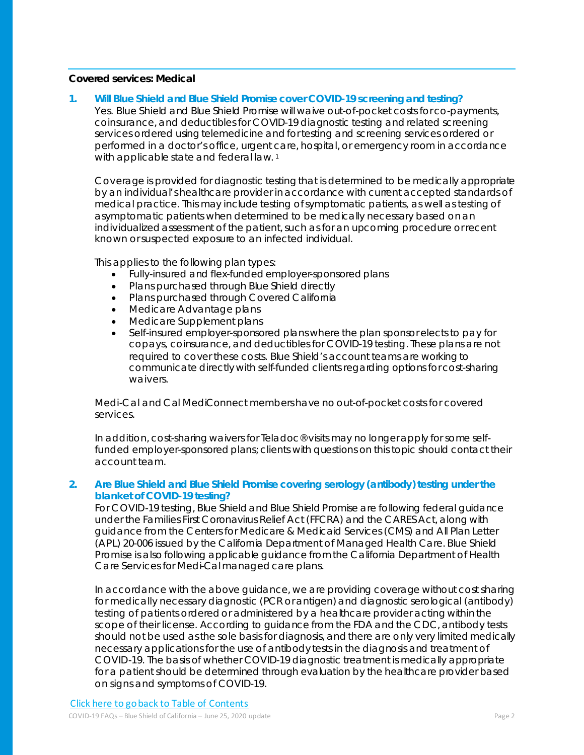### **Covered services: Medical**

### **1. Will Blue Shield and Blue Shield Promise cover COVID-19 screening and testing?**

Yes. Blue Shield and Blue Shield Promise will waive out-of-pocket costs for co-payments, coinsurance, and deductibles for COVID-19 diagnostic testing and related screening services ordered using telemedicine and for testing and screening services ordered or performed in a doctor's office, urgent care, hospital, or emergency room in accordance with applicable state and federal law.<sup>1</sup>

Coverage is provided for diagnostic testing that is determined to be medically appropriate by an individual's healthcare provider in accordance with current accepted standards of medical practice. This may include testing of symptomatic patients, as well as testing of asymptomatic patients when determined to be medically necessary based on an individualized assessment of the patient, such as for an upcoming procedure or recent known or suspected exposure to an infected individual.

This applies to the following plan types:

- Fully-insured and flex-funded employer-sponsored plans
- Plans purchased through Blue Shield directly
- Plans purchased through Covered California
- Medicare Advantage plans
- Medicare Supplement plans
- Self-insured employer-sponsored plans where the plan sponsor elects to pay for copays, coinsurance, and deductibles for COVID-19 testing. These plans are not required to cover these costs. Blue Shield's account teams are working to communicate directly with self-funded clients regarding options for cost-sharing waivers.

Medi-Cal and Cal MediConnect members have no out-of-pocket costs for covered services.

In addition, cost-sharing waivers for Teladoc® visits may no longer apply for some selffunded employer-sponsored plans; clients with questions on this topic should contact their account team.

### **2. Are Blue Shield and Blue Shield Promise covering serology (antibody) testing under the blanket of COVID-19 testing?**

For COVID-19 testing, Blue Shield and Blue Shield Promise are following federal guidance under the Families First Coronavirus Relief Act (FFCRA) and the CARES Act, along with guidance from the Centers for Medicare & Medicaid Services (CMS) and All Plan Letter (APL) 20-006 issued by the California Department of Managed Health Care. Blue Shield Promise is also following applicable guidance from the California Department of Health Care Services for Medi-Cal managed care plans.

In accordance with the above guidance, we are providing coverage without cost sharing for medically necessary diagnostic (PCR or antigen) and diagnostic serological (antibody) testing of patients ordered or administered by a healthcare provider acting within the scope of their license. According to guidance from the FDA and the CDC, antibody tests should not be used as the sole basis for diagnosis, and there are only very limited medically necessary applications for the use of antibody tests in the diagnosis and treatment of COVID-19. The basis of whether COVID-19 diagnostic treatment is medically appropriate for a patient should be determined through evaluation by the healthcare provider based on signs and symptoms of COVID-19.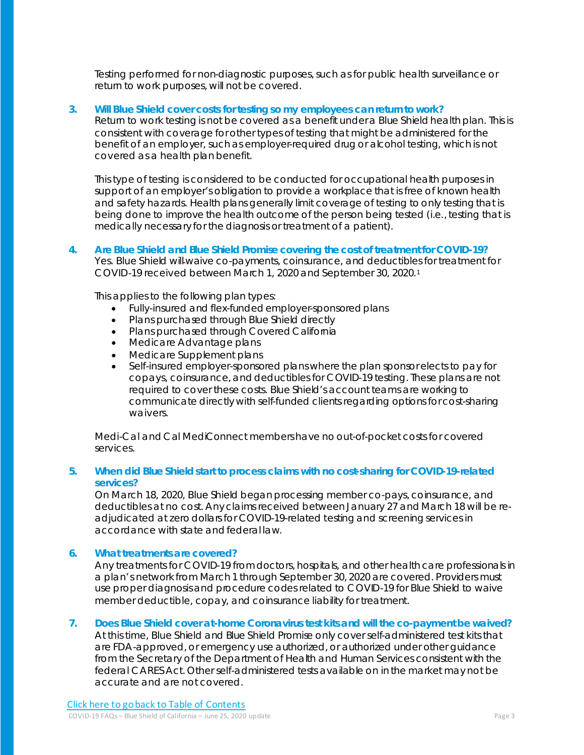Testing performed for non-diagnostic purposes, such as for public health surveillance or return to work purposes, will not be covered.

### **3. Will Blue Shield cover costs for testing so my employees can return to work?**

Return to work testing is not be covered as a benefit under a Blue Shield health plan. This is consistent with coverage for other types of testing that might be administered for the benefit of an employer, such as employer-required drug or alcohol testing, which is not covered as a health plan benefit.

This type of testing is considered to be conducted for occupational health purposes in support of an employer's obligation to provide a workplace that is free of known health and safety hazards. Health plans generally limit coverage of testing to only testing that is being done to improve the health outcome of the person being tested (i.e., testing that is medically necessary for the diagnosis or treatment of a patient).

**4. Are Blue Shield and Blue Shield Promise covering the cost of treatment for COVID-19?** Yes. Blue Shield will waive co-payments, coinsurance, and deductibles for treatment for COVID-19 received between March 1, 2020 and September 30, 2020.1

This applies to the following plan types:

- Fully-insured and flex-funded employer-sponsored plans
- Plans purchased through Blue Shield directly
- Plans purchased through Covered California
- Medicare Advantage plans
- Medicare Supplement plans
- Self-insured employer-sponsored plans where the plan sponsor elects to pay for copays, coinsurance, and deductibles for COVID-19 testing. These plans are not required to cover these costs. Blue Shield's account teams are working to communicate directly with self-funded clients regarding options for cost-sharing waivers.

Medi-Cal and Cal MediConnect members have no out-of-pocket costs for covered services.

### **5. When did Blue Shield start to process claims with no cost-sharing for COVID-19-related services?**

On March 18, 2020, Blue Shield began processing member co-pays, coinsurance, and deductibles at no cost. Any claims received between January 27 and March 18 will be readjudicated at zero dollars for COVID-19-related *testing and screening* services in accordance with state and federal law.

### **6. What treatments are covered?**

Any treatments for COVID-19 from doctors, hospitals, and other health care professionals in a plan's network from March 1 through September 30, 2020 are covered. Providers must use proper diagnosis and procedure codes related to COVID-19 for Blue Shield to waive member deductible, copay, and coinsurance liability for treatment.

### **7. Does Blue Shield cover at-home Coronavirus test kits and will the co-paymentbe waived?**

At this time, Blue Shield and Blue Shield Promise only cover self-administered test kits that are FDA-approved, or emergency use authorized, or authorized under other guidance from the Secretary of the Department of Health and Human Services consistent with the federal CARES Act. Other self-administered tests available on in the market may not be accurate and are not covered.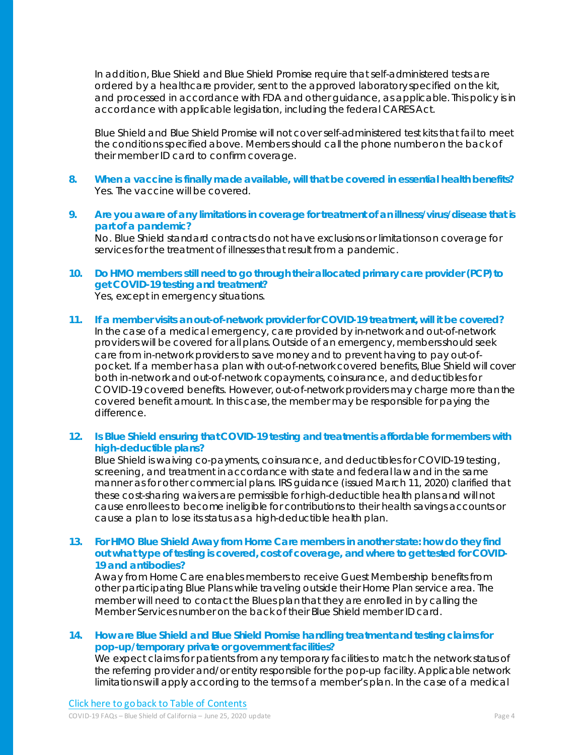In addition, Blue Shield and Blue Shield Promise require that self-administered tests are ordered by a healthcare provider, sent to the approved laboratory specified on the kit, and processed in accordance with FDA and other guidance, as applicable. This policy is in accordance with applicable legislation, including the federal CARES Act.

Blue Shield and Blue Shield Promise will not cover self-administered test kits that fail to meet the conditions specified above. Members should call the phone number on the back of their member ID card to confirm coverage.

- **8. When a vaccine is finally made available, will that be covered in essential health benefits?**  Yes. The vaccine will be covered.
- **9. Are you aware of any limitations in coverage for treatment of an illness/virus/disease that is part of a pandemic?**

No. Blue Shield standard contracts do not have exclusions or limitations on coverage for services for the treatment of illnesses that result from a pandemic.

- 10. **Do HMO members still need to go through their allocated primary care provider (PCP) to get COVID-19 testing and treatment?**  Yes, except in emergency situations.
- **11. If a member visits an out-of-network provider for COVID-19 treatment, will it be covered?** In the case of a medical emergency, care provided by in-network and out-of-network providers will be covered for all plans. Outside of an emergency, members should seek care from in-network providers to save money and to prevent having to pay out-ofpocket. If a member has a plan with out-of-network covered benefits, Blue Shield will cover both in-network and out-of-network copayments, coinsurance, and deductibles for COVID-19 covered benefits. However, out-of-network providers may charge more than the covered benefit amount. In this case, the member may be responsible for paying the difference.

### **12. Is Blue Shield ensuring that COVID-19 testing and treatment is affordable for members with high-deductible plans?**

Blue Shield is waiving co-payments, coinsurance, and deductibles for COVID-19 testing, screening, and treatment in accordance with state and federal law and in the same manner as for other commercial plans. IRS guidance (issued March 11, 2020) clarified that these cost-sharing waivers are permissible for high-deductible health plans and will not cause enrollees to become ineligible for contributions to their health savings accounts or cause a plan to lose its status as a high-deductible health plan.

### **13. For HMO Blue Shield Away from Home Care members in another state: how do they find out what type of testing is covered, cost of coverage, and where to get tested for COVID-19 and antibodies?**

Away from Home Care enables members to receive Guest Membership benefits from other participating Blue Plans while traveling outside their Home Plan service area. The member will need to contact the Blues plan that they are enrolled in by calling the Member Services number on the back of their Blue Shield member ID card.

### **14. How are Blue Shield and Blue Shield Promise handling treatment and testing claims for pop-up/temporary private or government facilities?**

We expect claims for patients from any temporary facilities to match the network status of the referring provider and/or entity responsible for the pop-up facility. Applicable network limitations will apply according to the terms of a member's plan. In the case of a medical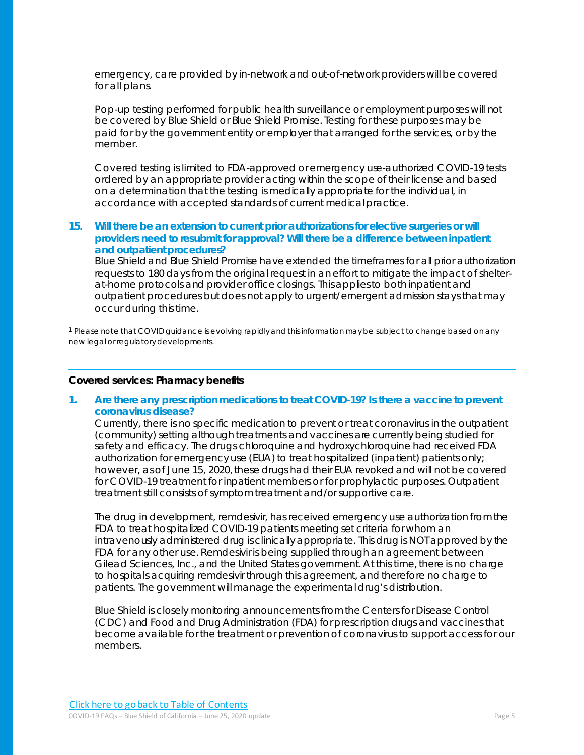emergency, care provided by in-network and out-of-network providers will be covered for all plans.

Pop-up testing performed for public health surveillance or employment purposes will not be covered by Blue Shield or Blue Shield Promise. Testing for these purposes may be paid for by the government entity or employer that arranged forthe services, or by the member.

Covered testing is limited to FDA-approved or emergency use-authorized COVID-19 tests ordered by an appropriate provider acting within the scope of their license and based on a determination that the testing is medically appropriate for the individual, in accordance with accepted standards of current medical practice.

### **15. Will there be an extension to current prior authorizations for elective surgeries or will providers need to resubmit for approval? Will there be a difference between inpatient and outpatient procedures?**

Blue Shield and Blue Shield Promise have extended the timeframes for all prior authorization requests to 180 days from the original request in an effort to mitigate the impact of shelterat-home protocols and provider office closings. This applies to both inpatient and outpatient procedures but does not apply to urgent/emergent admission stays that may occur during this time.

<sup>1</sup> Please note that COVID guidance is evolving rapidly and this information may be subject to change based on any new legal or regulatory developments.

### **Covered services: Pharmacy benefits**

**1. Are there any prescription medications to treat COVID-19? Is there a vaccine to prevent coronavirus disease?** 

Currently, there is no specific medication to prevent or treat coronavirus in the outpatient (community) setting although treatments and vaccines are currently being studied for safety and efficacy. The drugs chloroquine and hydroxychloroquine had received FDA authorization for emergency use (EUA) to treat hospitalized(inpatient) patients only; however, as of June 15, 2020, these drugs had their EUA revoked and will not be covered for COVID-19 treatment for inpatient members or for prophylactic purposes. Outpatient treatment still consists of symptom treatment and/or supportive care.

The drug in development, remdesivir, has received emergency use authorization from the FDA to treat hospitalized COVID-19 patients meeting set criteria for whom an intravenously administered drug is clinically appropriate. This drug is NOT approved by the FDA for any other use. Remdesivir is being supplied through an agreement between Gilead Sciences, Inc., and the United States government. At this time, there is no charge to hospitals acquiring remdesivir through this agreement, and therefore no charge to patients. The government will manage the experimental drug's distribution.

Blue Shield is closely monitoring announcements from the Centers for Disease Control (CDC) and Food and Drug Administration (FDA) for prescription drugs and vaccines that become available for the treatment or prevention of coronavirus to support access for our members.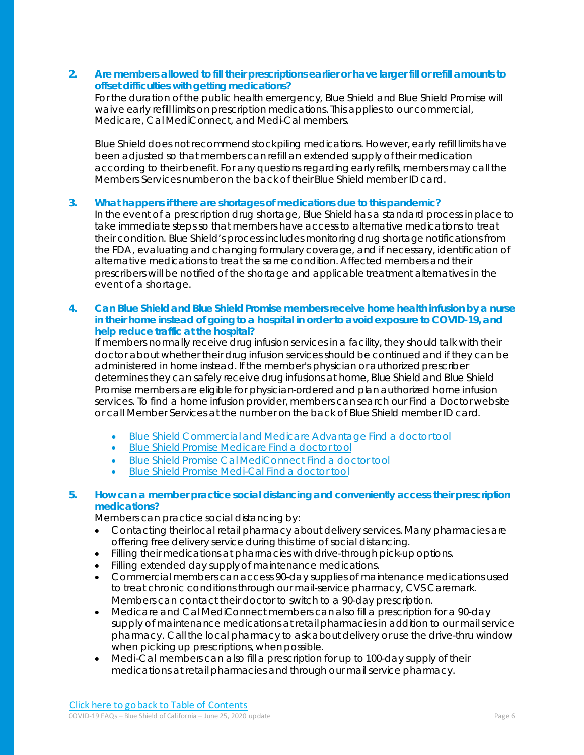### **2. Are members allowed to fill their prescriptions earlier or have larger fill or refill amounts to offset difficulties with getting medications?**

For the duration of the public health emergency, Blue Shield and Blue Shield Promise will waive early refill limits on prescription medications. This applies to our commercial, Medicare, Cal MediConnect, and Medi-Cal members.

Blue Shield does not recommend stockpiling medications. However, early refill limits have been adjusted so that members can refill an extended supply of their medication according to their benefit. For any questions regarding early refills, members may call the Members Services number on the back of their Blue Shield member ID card.

### **3. What happens if there are shortages of medications due to this pandemic?**

In the event of a prescription drug shortage, Blue Shield has a standard process in place to take immediate steps so that members have access to alternative medications to treat their condition. Blue Shield's process includes monitoring drug shortage notifications from the FDA, evaluating and changing formulary coverage, and if necessary, identification of alternative medications to treat the same condition. Affected members and their prescribers will be notified of the shortage and applicable treatment alternatives in the event of a shortage.

### **4. Can Blue Shield and Blue Shield Promise members receive home health infusion by a nurse in their home instead of going to a hospital in order to avoid exposure to COVID-19, and help reduce traffic at the hospital?**

If members normally receive drug infusion services in a facility, they should talk with their doctor about whether their drug infusion services should be continued and if they can be administered in home instead. If the member's physician or authorized prescriber determines they can safely receive drug infusions at home, Blue Shield and Blue Shield Promise members are eligible for physician-ordered and plan authorized home infusion services. To find a home infusion provider, members can search our Find a Doctor website or call Member Services at the number on the back of Blue Shield member ID card.

- *3T*Blue Shield Commercial and Medicare Advantage Find a doctor tool
- **Blue Shield Promise Medicare Find a doctor tool**
- **Blue Shield Promise Cal MediConnect Find a doctor tool**
- **Blue Shield Promise Medi-Cal Find a doctor tool**

### **5. How can a member practice social distancing and conveniently access their prescription medications?**

Members can practice social distancing by:

- Contacting their local retail pharmacy about delivery services. Many pharmacies are offering free delivery service during this time of social distancing.
- Filling their medications at pharmacies with drive-through pick-up options.
- Filling extended day supply of maintenance medications.
- Commercial members can access 90-day supplies of maintenance medications used to treat chronic conditions through our mail-service pharmacy, CVS Caremark. Members can contact their doctor to switch to a 90-day prescription.
- Medicare and Cal MediConnect members can also fill a prescription for a 90-day supply of maintenance medications at retail pharmacies in addition to our mail service pharmacy. Call the local pharmacy to ask about delivery or use the drive-thru window when picking up prescriptions, when possible.
- Medi-Cal members can also fill a prescription for up to 100-day supply of their medications at retail pharmacies and through our mail service pharmacy.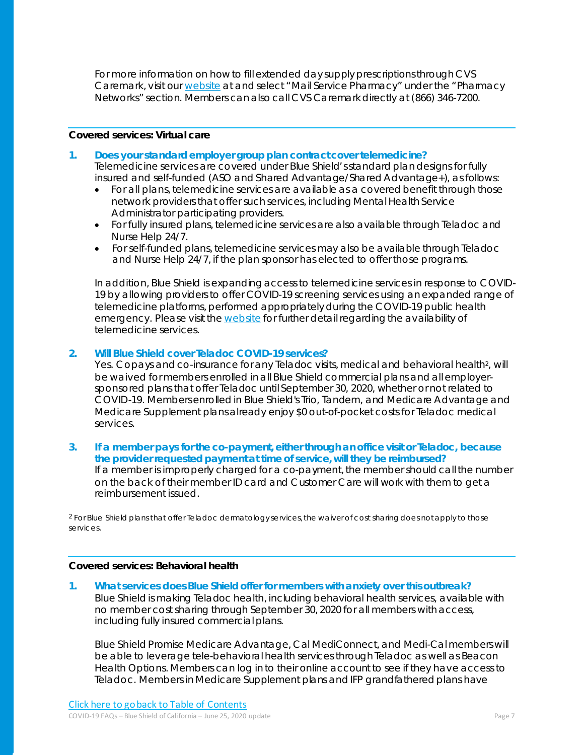For more information on how to fill extended day supply prescriptions through CVS Caremark, visit our *website* at and select "Mail Service Pharmacy" under the "Pharmacy Networks" section. Members can also call CVS Caremark directly at (866) 346-7200.

### **Covered services: Virtual care**

- **1. Does your standard employer group plan contract cover telemedicine?** Telemedicine services are covered under Blue Shield's standard plan designs for fully insured and self-funded (ASO and Shared Advantage/Shared Advantage+), as follows:
	- For all plans, telemedicine services are available as a covered benefit through those network providers that offer such services, including Mental Health Service Administrator participating providers.
	- For fully insured plans, telemedicine services are also available through Teladoc and Nurse Help 24/7.
	- For self-funded plans, telemedicine services may also be available through Teladoc and Nurse Help 24/7, if the plan sponsor has elected to offer those programs.

In addition, Blue Shield is expanding access to telemedicine services in response to COVID-19 by allowing providers to offer COVID-19 screening services using an expanded range of telemedicine platforms, performed appropriately during the COVID-19 public health emergency. Please visit the *website* for further detail regarding the availability of telemedicine services.

### **2. Will Blue Shield cover Teladoc COVID-19 services?**

Yes. Copays and co-insurance for any Teladoc visits, medical and behavioral health*<sup>P</sup>* 2*<sup>P</sup>*, will be waived for members enrolled in all Blue Shield commercial plans and all employersponsored plans that offer Teladoc until September 30, 2020, whether or not related to COVID-19. Members enrolled in Blue Shield's Trio, Tandem, and Medicare Advantage and Medicare Supplement plans already enjoy \$0 out-of-pocket costs for Teladoc medical services.

## **3. If a member pays for the co-payment, either through an office visit or Teladoc, because the provider requested payment at time of service, will they be reimbursed?**

If a member is improperly charged for a co-payment, the member should call the number on the back of their member ID card and Customer Care will work with them to get a reimbursement issued.

*P* <sup>2</sup> For Blue Shield plans that offer Teladoc dermatology services, the waiver of cost sharing does not apply to those services.

#### **Covered services: Behavioral health**

**1. What services does Blue Shield offer for members with anxiety over this outbreak?** Blue Shield is making Teladoc health, including behavioral health services, available with no member cost sharing through September 30, 2020 for all members with access, including fully insured commercial plans.

Blue Shield Promise Medicare Advantage, Cal MediConnect, and Medi-Cal members will be able to leverage tele-behavioral health services through Teladoc as well as Beacon Health Options. Members can log in to their online account to see if they have access to Teladoc. Members in Medicare Supplement plans and IFP grandfathered plans have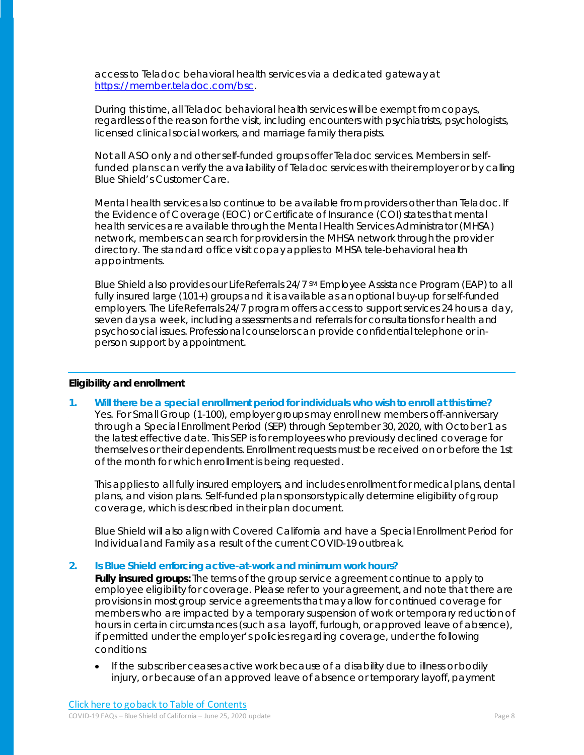access to Teladoc behavioral health services via a dedicated gateway at *3T*https://member.teladoc.com/bsc*3T*.

During this time, all Teladoc behavioral health services will be exempt from copays, regardless of the reason for the visit, including encounters with psychiatrists, psychologists, licensed clinical social workers, and marriage family therapists.

Not all ASOonly and other self-funded groups offer Teladoc services. Members in selffunded plans can verify the availability of Teladoc services with their employer or by calling Blue Shield's Customer Care.

Mental health services also continue to be available from providers other than Teladoc. If the Evidence of Coverage (EOC) or Certificate of Insurance (COI) states that mental health services are available through the Mental Health Services Administrator (MHSA) network, members can search for providers in the MHSA network through the provider directory. The standard office visit copay applies to MHSA tele-behavioral health appointments.

Blue Shield also provides our LifeReferrals 24/7  $^{5M}$  Employee Assistance Program (EAP) to all fully insured large (101+) groups and it is available as an optional buy-up for self-funded employers. The LifeReferrals 24/7 program offers access to support services 24 hours a day, seven days a week, including assessments and referrals for consultations for health and psychosocial issues. Professional counselors can provide confidential telephone or inperson support by appointment.

### **Eligibility and enrollment**

**1. Will there be a special enrollment period for individuals who wish to enroll at this time?**  Yes. For Small Group (1-100), employer groups may enroll new members off-anniversary through a Special Enrollment Period (SEP) through September 30, 2020, with October 1 as the latest effective date. This SEP is for employees who previously declined coverage for themselves or their dependents. Enrollment requests must be received on or before the 1st of the month for which enrollment is being requested.

This applies to all fully insuredemployers, and includes enrollment for medical plans, dental plans, and vision plans. Self-funded plan sponsors typically determine eligibility of group coverage, which is described in their plan document.

Blue Shield will also align with Covered California and have a Special Enrollment Period for Individual and Family as a result of the current COVID-19 outbreak.

**2. Is Blue Shield enforcing active-at-work and minimum work hours?**

**Fully insured groups:** The terms of the group service agreement continue to apply to employee eligibility for coverage. Please refer to your agreement, and note that there are provisions in most group service agreements that may allow for continued coverage for members who are impacted by a temporary suspension of work or temporary reduction of hours in certain circumstances (such as a layoff, furlough, or approved leave of absence), if permitted under the employer's policies regarding coverage, under the following conditions:

• If the subscriber ceases active work because of a disability due to illness or bodily injury, or because of an approved leave of absence or temporary layoff, payment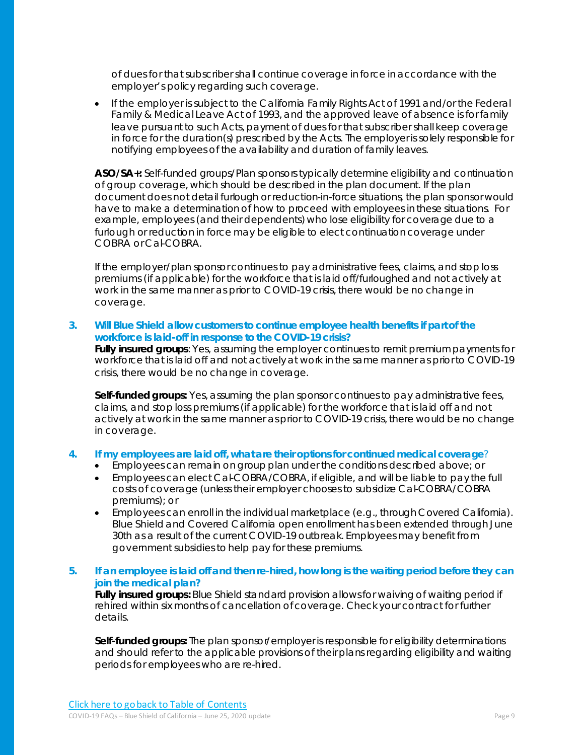of dues for that subscriber shall continue coverage in force in accordance with the employer's policy regarding such coverage.

• If the employer is subject to the California Family Rights Act of 1991 and/or the Federal Family & Medical Leave Act of 1993, and the approved leave of absence is for family leave pursuant to such Acts, payment of dues for that subscriber shall keep coverage in force for the duration(s) prescribed by the Acts. The employer is solely responsible for notifying employees of the availability and duration of family leaves.

**ASO/SA+:** Self-funded groups/Plan sponsors typically determine eligibility and continuation of group coverage, which should be described in the plan document. If the plan document does not detail furlough or reduction-in-force situations, the plan sponsor would have to make a determination of how to proceed with employees in these situations. For example, employees (and their dependents) who lose eligibility for coverage due to a furlough or reduction in force may be eligible to elect continuation coverage under COBRA or Cal-COBRA.

If the employer/plan sponsor continues to pay administrative fees, claims, and stop loss premiums (if applicable) for the workforce that is laid off/furloughed and not actively at work in the same manner as prior to COVID-19 crisis, there would be no change in coverage.

### **3. Will Blue Shield allow customers to continue employee health benefits if part of the workforce is laid-off in response to the COVID-19 crisis?**

**Fully insured groups**: Yes, assuming the employer continues to remit premium payments for workforce that is laid off and not actively at work in the same manner as prior to COVID-19 crisis, there would be no change in coverage.

**Self-funded groups:** Yes, assuming the plan sponsor continues to pay administrative fees, claims, and stop loss premiums (if applicable) for the workforce that is laid off and not actively at work in the same manner as prior to COVID-19 crisis, there would be no change in coverage.

### **4. If my employees are laid off, what are their options for continued medical coverage**?

- Employees can remain on group plan under the conditions described above; *or*
- Employees can elect Cal-COBRA/COBRA, if eligible, and will be liable to pay the full costs of coverage (unless their employer chooses to subsidize Cal-COBRA/COBRA premiums); *or*
- Employees can enroll in the individual marketplace (e.g., through Covered California). Blue Shield and Covered California open enrollment has been extended through June 30th as a result of the current COVID-19 outbreak. Employees may benefit from government subsidies to help pay for these premiums.

### **5. If an employee is laid off and then re-hired, how long is the waiting period before they can join the medical plan?**

**Fully insured groups:** Blue Shield standard provision allows for waiving of waiting period if rehired within six months of cancellation of coverage. Check your contract for further details.

**Self-funded groups:** The plan sponsor/employer is responsible for eligibility determinations and should refer to the applicable provisions of their plans regarding eligibility and waiting periods for employees who are re-hired.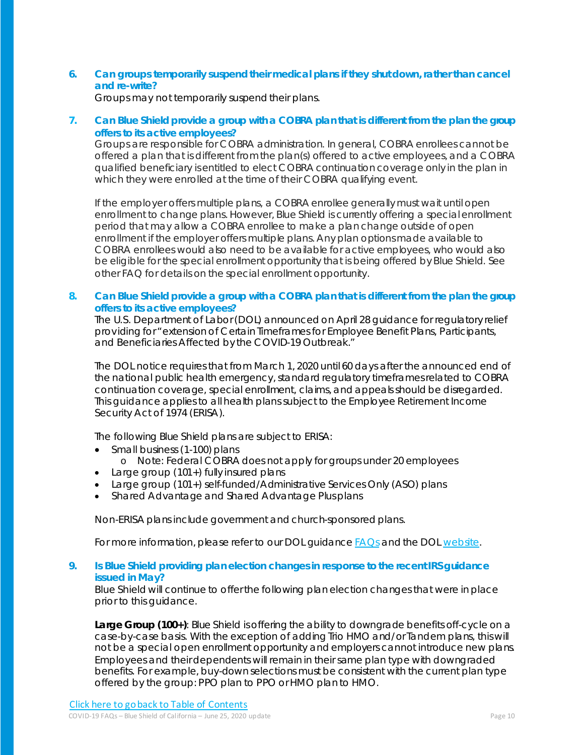### **6. Can groups temporarily suspend their medical plans if they shut down, rather than cancel and re-write?**

Groups may not temporarily suspend their plans.

### **7. Can Blue Shield provide a group with a COBRA plan that is different from the plan the group offers to its active employees?**

Groups are responsible for COBRA administration. In general, COBRA enrollees cannot be offered a plan that is different from the plan(s) offered to active employees, anda COBRA qualified beneficiary is entitled to elect COBRA continuation coverage only in the plan in which they were enrolled at the time of their COBRA qualifying event.

If the employer offers multiple plans, a COBRA enrollee generally must wait until open enrollment to change plans. However, Blue Shield is currently offering a special enrollment period that may allow a COBRA enrollee to make a plan change outside of open enrollment if the employer offers multiple plans. Any plan options made available to COBRA enrollees would also need to be available for active employees, who would also be eligible for the special enrollment opportunity that is being offered by Blue Shield. See other FAQ for details on the special enrollment opportunity.

### **8. Can Blue Shield provide a group with a COBRA plan that is different from the plan the group offers to its active employees?**

The U.S. Department of Labor (DOL) announced on April 28 guidance for regulatory relief providing for "extension of Certain Timeframes for Employee Benefit Plans, Participants, and Beneficiaries Affected by the COVID-19 Outbreak."

The DOL notice requires that from March 1, 2020 until 60 days after the announced end of the national public health emergency, standard regulatory timeframes related to COBRA continuation coverage, special enrollment, claims, and appeals should be disregarded. This guidance applies to all health plans subject to the Employee Retirement Income Security Act of 1974 (ERISA).

The following Blue Shield plans are subject to ERISA:

- Small business (1-100) plans
	- o Note: Federal COBRA does not apply for groups under 20 employees
- Large group (101+) fully insured plans
- Large group (101+) self-funded/Administrative Services Only (ASO) plans
- Shared Advantage and Shared Advantage Plus plans

Non-ERISA plans include government and church-sponsored plans.

For more information, please refer to our DOL quidance FAQs and the DOL website.

### **9. Is Blue Shield providing plan election changes in response to the recent IRS guidance issued in May?**

Blue Shield will continue to offer the following plan election changes that were in place prior to this guidance.

Large Group (100+): Blue Shield is offering the ability to downgrade benefits off-cycle on a case-by-case basis. With the exception of adding Trio HMO and/or Tandem plans, this will not be a special open enrollment opportunity and employers cannot introduce new plans. Employees and their dependents will remain in their same plan type with downgraded benefits. For example, buy-down selections must be consistent with the current plan type offered by the group: PPO plan to PPO or HMO plan to HMO.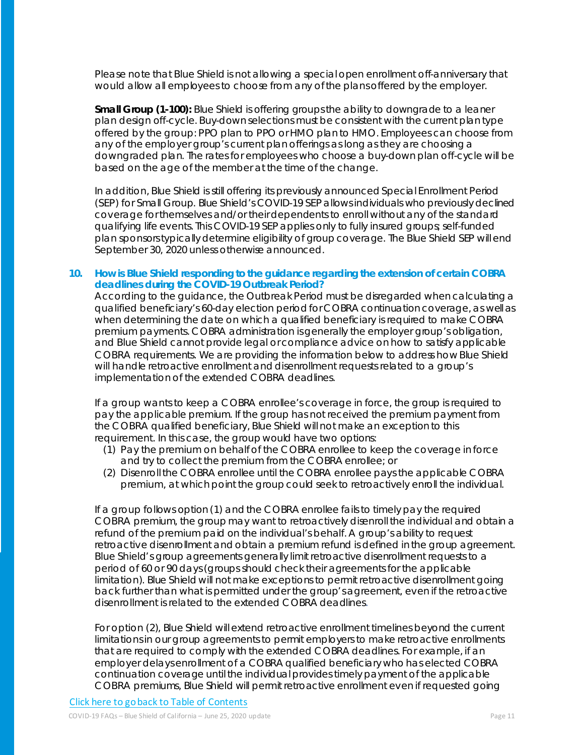Please note that Blue Shield is not allowing a special open enrollment off-anniversary that would allow all employees to choose from any of the plans offered by the employer.

**Small Group (1-100):** Blue Shield is offering groups the ability to downgrade to a leaner plan design off-cycle. Buy-down selections must be consistent with the current plan type offered by the group: PPO plan to PPO or HMO plan to HMO. Employees can choose from any of the employer group's current plan offerings as long as they are choosing a downgraded plan. The rates for employees who choose a buy-down plan off-cycle will be based on the age of the member at the time of the change.

In addition, Blue Shield is still offering its previously announced Special Enrollment Period (SEP) for Small Group. Blue Shield's COVID-19 SEP allows individuals who previously declined coverage for themselves and/or their dependents to enroll without any of the standard qualifying life events. This COVID-19 SEP applies only to fully insured groups; self-funded plan sponsors typically determine eligibility of group coverage. The Blue Shield SEP will end September 30, 2020 unless otherwise announced.

### **10. How is Blue Shield responding to the guidance regarding the extension of certain COBRA deadlines during the COVID-19 Outbreak Period?**

According to the guidance, the Outbreak Period must be disregarded when calculating a qualified beneficiary's 60-day election period for COBRA continuation coverage, as well as when determining the date on which a qualified beneficiary is required to make COBRA premium payments. COBRA administration is generally the employer group's obligation, and Blue Shield cannot provide legal or compliance advice on how to satisfy applicable COBRA requirements. We are providing the information below to address how Blue Shield will handle retroactive enrollment and disenrollment requests related to a group's implementation of the extended COBRA deadlines.

If a group wants to keep a COBRA enrollee's coverage in force, the group is required to pay the applicable premium. If the group has not received the premium payment from the COBRA qualified beneficiary, Blue Shield will not make an exception to this requirement. In this case, the group would have two options:

- (1) Pay the premium on behalf of the COBRA enrollee to keep the coverage in force and try to collect the premium from the COBRA enrollee; or
- (2) Disenroll the COBRA enrollee until the COBRA enrollee pays the applicable COBRA premium, at which point the group could seek to retroactively enroll the individual.

If a group follows option (1) and the COBRA enrollee fails to timely pay the required COBRA premium, the group may want to retroactively disenroll the individual and obtain a refund of the premium paid on the individual's behalf. A group's ability to request retroactive disenrollment and obtain a premium refund is defined in the group agreement. Blue Shield's group agreements generally limit retroactive disenrollment requests to a period of 60 or 90 days (groups should check their agreements for the applicable limitation). Blue Shield will not make exceptions to permit retroactive disenrollment going back further than what is permitted under the group's agreement, even if the retroactive disenrollment is related to the extended COBRA deadlines.

For option (2), Blue Shield will extend retroactive enrollment timelines beyond the current limitations in our group agreements to permit employers to make retroactive enrollments that are required to comply with the extended COBRA deadlines. For example, if an employer delays enrollment of a COBRA qualified beneficiary who has elected COBRA continuation coverage until the individual provides timely payment of the applicable COBRA premiums, Blue Shield will permit retroactive enrollment even if requested going

### Click here to go back to Table of Contents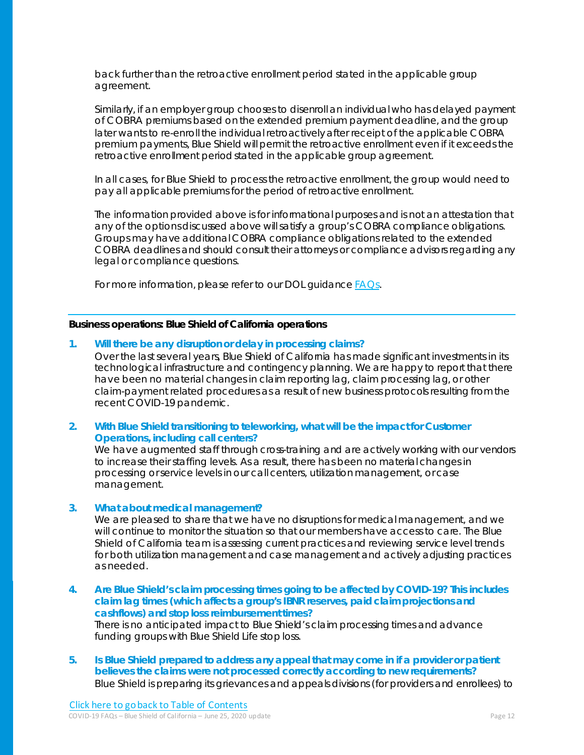back further than the retroactive enrollment period stated in the applicable group agreement.

Similarly, if an employer group chooses to disenroll an individual who has delayed payment of COBRA premiums based on the extended premium payment deadline, and the group later wants to re-enroll the individual retroactively after receipt of the applicable COBRA premium payments, Blue Shield will permit the retroactive enrollment even if it exceeds the retroactive enrollment period stated in the applicable group agreement.

In all cases, for Blue Shield to process the retroactive enrollment, the group would need to pay all applicable premiums for the period of retroactive enrollment.

The information provided above is for informational purposes and is not an attestation that any of the options discussed above will satisfy a group's COBRA compliance obligations. Groups may have additional COBRA compliance obligations related to the extended COBRA deadlines and should consult their attorneys or compliance advisors regarding any legal or compliance questions.

For more information, please refer to our DOL guidance FAQs.

### **Business operations: Blue Shield of California operations**

**1.** *37T***Will there be any disruption or delay in processing claims?**

Over the last several years, Blue Shield of California has made significant investments in its technological infrastructure and contingency planning. We are happy to report that there have been no material changes in claim reporting lag, claim processing lag, or other claim-payment related procedures as a result of new business protocols resulting from the recent COVID-19 pandemic.

2. With Blue Shield transitioning to teleworking, what will be the impact for Customer **Operations, including call centers?**

We have augmented staff through cross-training and are actively working with our vendors to increase their staffing levels. As a result, there has been no material changes in processing or service levels in our call centers, utilization management, or case management.

#### **3.** What about medical management?

We are pleased to share that we have no disruptions for medical management, and we will continue to monitor the situation so that our members have access to care. The Blue Shield of California team is assessing current practices and reviewing service level trends for both utilization management and case management and actively adjusting practices as needed.

- *37T***4.** *37T***Are Blue Shield's claim processing times going to be affected by COVID-19? This includes claim lag times (which affects a group's IBNR reserves, paid claim projections and cashflows) and stop loss reimbursement times?** There is no anticipated impact to Blue Shield's claim processing times and advance funding groups with Blue Shield Life stop loss.
- **5. Is Blue Shield prepared to address any appeal that may come in if a provider or patient believes the claims were not processed correctly according to new requirements?** Blue Shield is preparing its grievances and appeals divisions (for providers and enrollees) to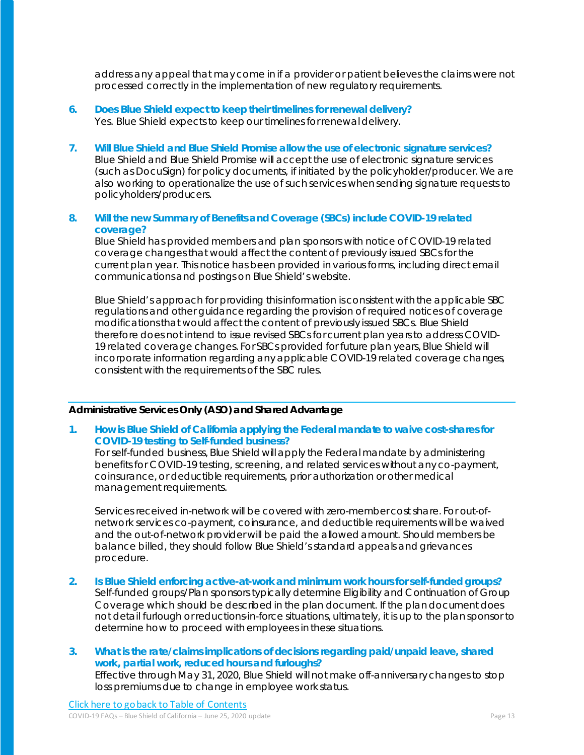address any appeal that may come in if a provider or patient believes the claims were not processed correctly in the implementation of new regulatory requirements.

- **6. Does Blue Shield expect to keep their timelines for renewal delivery?**  Yes. Blue Shield expects to keep our timelines for renewal delivery.
- **7. Will Blue Shield and Blue Shield Promise allow the use of electronic signature services?**  Blue Shield and Blue Shield Promise will accept the use of electronic signature services (such as DocuSign) for policy documents, if initiated by the policyholder/producer. We are also working to operationalize the use of such services when sending signature requests to policyholders/producers.

### **8. Will the new Summary of Benefits and Coverage (SBCs) include COVID-19 related coverage?**

Blue Shield has provided members and plan sponsors with notice of COVID-19 related coverage changes that would affect the content of previously issued SBCs for the current plan year. This notice has been provided in various forms, including direct email communications and postings on Blue Shield's website.

Blue Shield's approach for providing this information is consistent with the applicable SBC regulations and other guidance regarding the provision of required notices of coverage modifications that would affect the content of previously issued SBCs. Blue Shield therefore does not intend to issue revised SBCs for current plan years to address COVID-19 related coverage changes. For SBCs provided for future plan years, Blue Shield will incorporate information regarding any applicable COVID-19 related coverage changes, consistent with the requirements of the SBC rules.

### **Administrative Services Only (ASO) and Shared Advantage**

**1. How is Blue Shield of California applying the Federal mandate to waive cost-shares for COVID-19 testing to Self-funded business?** 

For self-funded business, Blue Shield will apply the Federal mandate by administering benefits for COVID-19 testing, screening, and related services without any co-payment, coinsurance, or deductible requirements, prior authorization or other medical management requirements.

Services received in-network will be covered with zero-member cost share. For out-ofnetwork services co-payment, coinsurance, and deductible requirements will be waived and the out-of-network provider will be paid the allowed amount. Should members be balance billed, they should follow Blue Shield's standard appeals and grievances procedure.

- **2. Is Blue Shield enforcing active-at-work and minimum work hours for self-funded groups?**  Self-funded groups/Plan sponsors typically determine Eligibility and Continuation of Group Coverage which should be described in the plan document. If the plan document does not detail furlough or reductions-in-force situations, ultimately, it is up to the plan sponsor to determine how to proceed with employees in these situations.
- **3. What is the rate/claims implications of decisions regarding paid/unpaid leave, shared work, partial work, reduced hours and furloughs?**  Effective through May 31, 2020, Blue Shield will not make off-anniversary changes to stop loss premiums due to change in employee work status.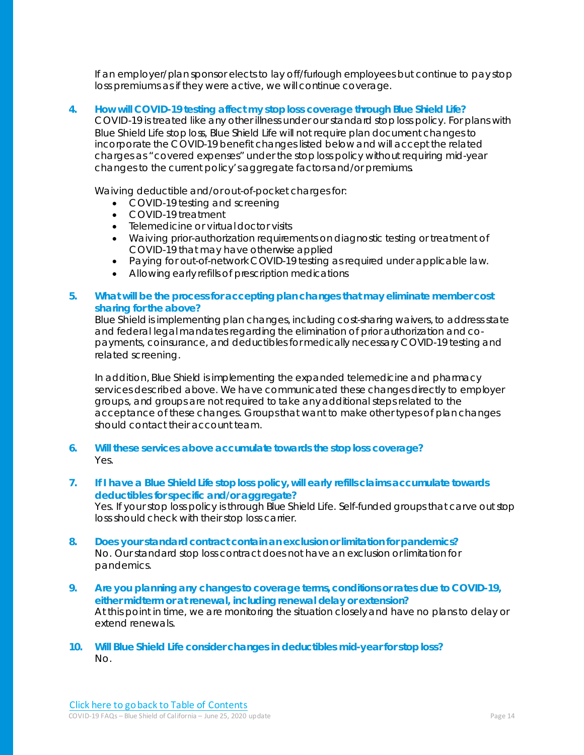If an employer/plan sponsor elects to lay off/furlough employees but continue to pay stop loss premiums as if they were active, we will continue coverage.

**4. How will COVID-19 testing affect my stop loss coverage through Blue Shield Life?** COVID-19 is treated like any other illness under our standard stop loss policy. For plans with Blue Shield Life stop loss, Blue Shield Life will not require plan document changes to incorporate the COVID-19 benefit changes listed below and will accept the related charges as "covered expenses" under the stoploss policy without requiring mid-year changes to the current policy's aggregate factors and/or premiums.

Waiving deductible and/or out-of-pocket charges for:

- COVID-19 testing and screening
- COVID-19 treatment
- Telemedicine or virtual doctor visits
- Waiving prior-authorization requirements on diagnostic testing or treatment of COVID-19 that may have otherwise applied
- Paying for out-of-network COVID-19 testing as required under applicable law.
- Allowing early refills of prescription medications
- **5. What will be the process for accepting plan changes that may eliminate member cost sharing for the above?**

Blue Shield is implementing plan changes, including cost-sharing waivers, to address state and federal legal mandates regarding the elimination of prior authorization and copayments, coinsurance, and deductibles for medically necessary COVID-19 testing and related screening.

In addition, Blue Shield is implementing the expanded telemedicine and pharmacy services described above. We have communicated these changes directly to employer groups, and groups are not required to take any additional steps related to the acceptance of these changes. Groups that want to make other types of plan changes should contact their account team.

- **6. Will these services above accumulate towards the stop loss coverage?** Yes.
- **7. If I have a Blue Shield Life stop loss policy, will early refills claims accumulate towards deductibles for specific and/or aggregate?**

Yes. If your stop loss policy is through Blue Shield Life. Self-fundedgroups that carve out stop loss should check with their stop loss carrier.

- **8. Does your standard contract contain an exclusion or limitation for pandemics?** No. Our standard stop loss contract does not have an exclusion or limitation for pandemics.
- **9. Are you planning any changes to coverage terms, conditions or rates due to COVID-19, either midterm or at renewal, including renewal delay or extension?**  At this point in time, we are monitoring the situation closely and have no plans to delay or extend renewals.
- **10. Will Blue Shield Life consider changes in deductibles mid-year for stop loss?**  No.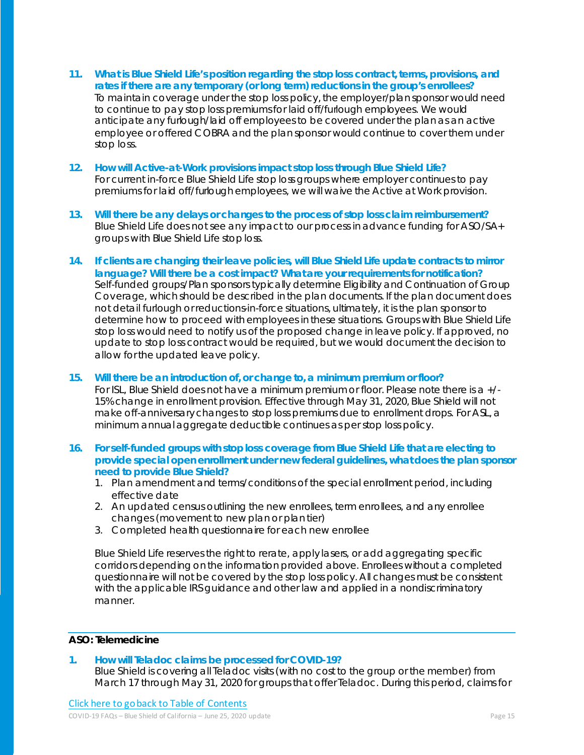- **11. What is Blue Shield Life's position regarding the stop loss contract, terms, provisions, and rates if there are any temporary (or long term) reductions in the group's enrollees?**  To maintain coverage under the stop loss policy, the employer/plan sponsor would need to continue to pay stop loss premiums for laid off/furlough employees. We would anticipate any furlough/laid off employees to be covered under the plan as an active employee or offered COBRA and the plan sponsor would continue to cover them under stop loss.
- **12. How will Active-at-Work provisions impact stop loss through Blue Shield Life?** For current in-force Blue Shield Life stop loss groups where employer continues to pay premiums for laid off/furlough employees, we will waive the Active at Work provision.
- **13. Will there be any delays or changes to the process of stop loss claim reimbursement?** Blue Shield Life does not see any impact to our process in advance funding for ASO/SA+ groups with Blue Shield Life stop loss.
- **14. If clients are changing their leave policies, will Blue Shield Life update contracts to mirror language? Will there be a cost impact? What are your requirements for notification?** Self-funded groups/Plan sponsors typically determine Eligibility and Continuation of Group Coverage, which should be described in the plan documents. If the plan document does not detail furlough or reductions-in-force situations, ultimately, it is the plan sponsor to determine how to proceed with employees in these situations. Groups with Blue Shield Life stop loss would need to notify us of the proposed change in leave policy. If approved, no update to stop loss contract would be required, but we would document the decision to allow for the updated leave policy.
- **15. Will there be an introduction of, or change to, a minimum premium or floor?**

For ISL, Blue Shield does not have a minimum premium or floor. Please note there is a  $+/-$ 15% change in enrollment provision. Effective through May 31, 2020, Blue Shield will not make off-anniversary changes to stop loss premiums due to enrollment drops. For ASL, a minimum annual aggregate deductible continues as per stop loss policy.

- **16. For self-funded groups with stop loss coverage from Blue Shield Life that are electing to provide special open enrollment under new federal guidelines, what does the plan sponsor need to provide Blue Shield?**
	- 1. Plan amendment and terms/conditions of the special enrollment period, including effective date
	- 2. An updated census outlining the new enrollees, term enrollees, and any enrollee changes (movement to new plan or plan tier)
	- 3. Completed health questionnaire for each new enrollee

Blue Shield Life reserves the right to rerate, apply lasers, or add aggregating specific corridors depending on the information provided above. Enrollees without a completed questionnaire will not be covered by the stop loss policy. All changes must be consistent with the applicable IRS quidance and other law and applied in a nondiscriminatory manner.

### **ASO: Telemedicine**

**1. How will Teladoc claims be processed for COVID-19?** Blue Shield is covering all Teladoc visits (with no cost to the group or the member) from March 17 through May 31, 2020 for groups that offer Teladoc. During this period, claims for

Click here to go back to Table of Contents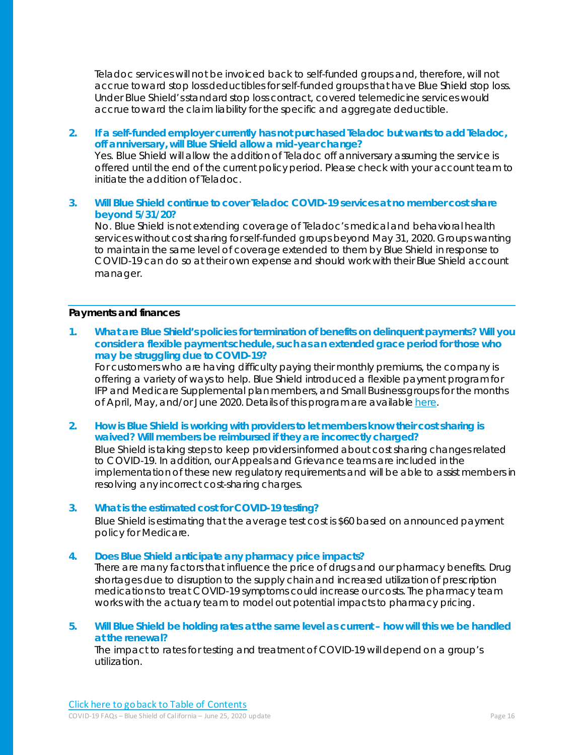Teladoc services will not be invoiced back to self-funded groups and, therefore, will not accrue toward stop loss deductibles for self-fundedgroups that have Blue Shield stop loss. Under Blue Shield's standard stop loss contract, covered telemedicine services would accrue toward the claim liability for the specific and aggregate deductible.

### **2. If a self-funded employer currently has not purchased Teladoc but wants to add Teladoc, off anniversary, will Blue Shield allow a mid-year change?**

Yes. Blue Shield will allow the addition of Teladoc off anniversary assuming the service is offered until the end of the current policy period. Please check with your account team to initiate the addition of Teladoc.

### **3. Will Blue Shield continue to cover Teladoc COVID-19 services at no member cost share beyond 5/31/20?**

No. Blue Shield is not extending coverage of Teladoc's medical and behavioral health services without cost sharing for self-funded groups beyond May 31, 2020. Groups wanting to maintain the same level of coverage extended to them by Blue Shield in response to COVID-19 can do so at their own expense and should work with their Blue Shield account manager.

### **Payments and finances**

**1. What are Blue Shield's policies for termination of benefits on delinquent payments? Will you consider a flexible payment schedule, such as an extended grace period for those who may be struggling due to COVID-19?** 

For customers who are having difficulty paying their monthly premiums, the company is offering a variety of ways to help. Blue Shield introduced a flexible payment programfor IFP and Medicare Supplemental plan members, and Small Business groups for the months of April, May, and/or June 2020. Details of this program are available *here*.

**2. How is Blue Shield is working with providers to let members know their cost sharing is waived? Will members be reimbursed if they are incorrectly charged?** Blue Shield is taking steps to keep providers informed about cost sharing changes related to COVID-19. In addition, our Appeals and Grievance teams are included in the implementationof these new regulatory requirements and will be able to assist members in resolving any incorrect cost-sharing charges.

### **3. What is the estimated cost for COVID-19 testing?**  Blue Shield is estimating that the average test cost is \$60 based on announced payment

policy for Medicare.

### **4. Does Blue Shield anticipate any pharmacy price impacts?**

There are many factors that influence the price of drugs and our pharmacy benefits. Drug shortages due to disruption to the supply chain and increased utilizationof prescription medications to treat COVID-19 symptoms could increase our costs. The pharmacy team works with the actuary team to model out potential impacts to pharmacy pricing.

### **5. Will Blue Shield be holding rates at the same level as current – how will this we be handled at the renewal?**

The impact to rates for testing and treatment of COVID-19 will depend on a group's utilization.